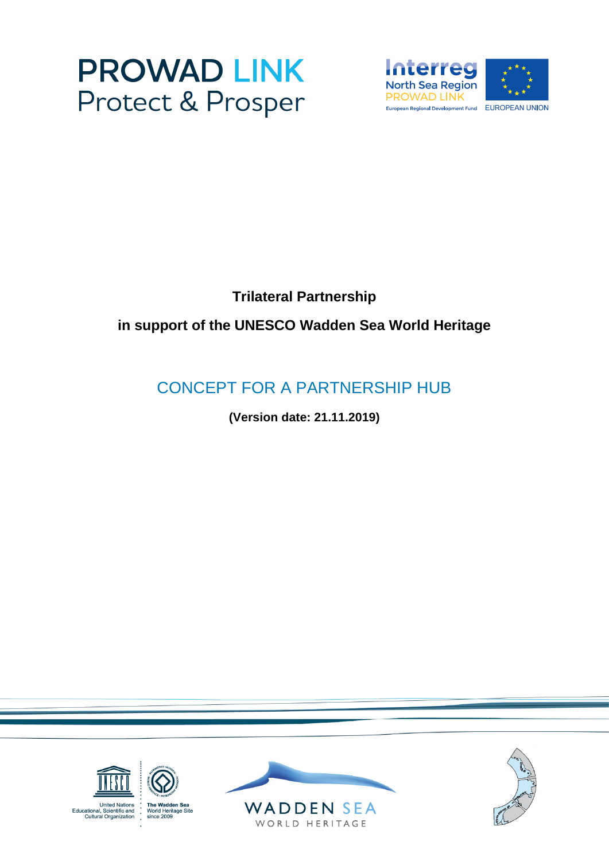



## **Trilateral Partnership**

# **in support of the UNESCO Wadden Sea World Heritage**

# CONCEPT FOR A PARTNERSHIP HUB

**(Version date: 21.11.2019)**

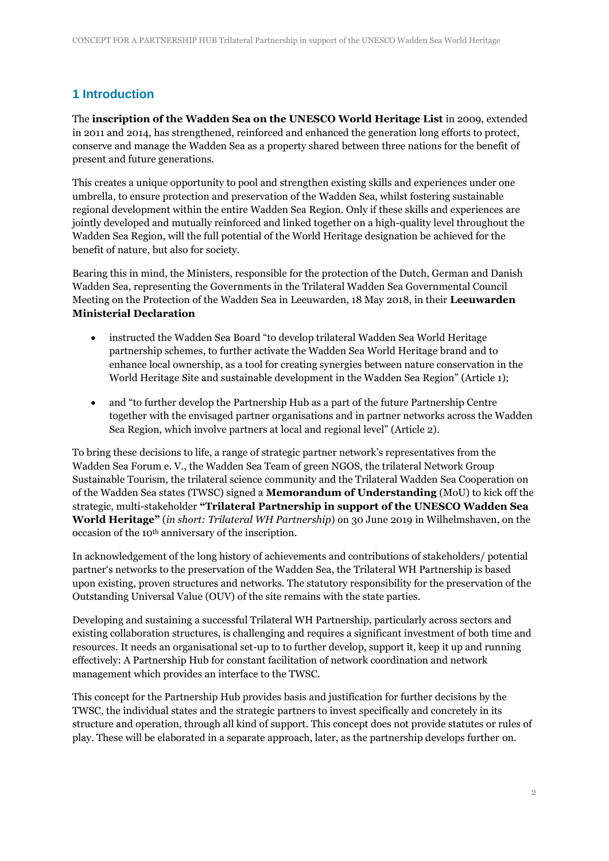## **1 Introduction**

The **inscription of the Wadden Sea on the UNESCO World Heritage List** in 2009, extended in 2011 and 2014, has strengthened, reinforced and enhanced the generation long efforts to protect, conserve and manage the Wadden Sea as a property shared between three nations for the benefit of present and future generations.

This creates a unique opportunity to pool and strengthen existing skills and experiences under one umbrella, to ensure protection and preservation of the Wadden Sea, whilst fostering sustainable regional development within the entire Wadden Sea Region. Only if these skills and experiences are jointly developed and mutually reinforced and linked together on a high-quality level throughout the Wadden Sea Region, will the full potential of the World Heritage designation be achieved for the benefit of nature, but also for society.

Bearing this in mind, the Ministers, responsible for the protection of the Dutch, German and Danish Wadden Sea, representing the Governments in the Trilateral Wadden Sea Governmental Council Meeting on the Protection of the Wadden Sea in Leeuwarden, 18 May 2018, in their **Leeuwarden Ministerial Declaration**

- instructed the Wadden Sea Board "to develop trilateral Wadden Sea World Heritage partnership schemes, to further activate the Wadden Sea World Heritage brand and to enhance local ownership, as a tool for creating synergies between nature conservation in the World Heritage Site and sustainable development in the Wadden Sea Region" (Article 1);
- and "to further develop the Partnership Hub as a part of the future Partnership Centre together with the envisaged partner organisations and in partner networks across the Wadden Sea Region, which involve partners at local and regional level" (Article 2).

To bring these decisions to life, a range of strategic partner network's representatives from the Wadden Sea Forum e. V., the Wadden Sea Team of green NGOS, the trilateral Network Group Sustainable Tourism, the trilateral science community and the Trilateral Wadden Sea Cooperation on of the Wadden Sea states (TWSC) signed a **Memorandum of Understanding** (MoU) to kick off the strategic, multi-stakeholder **"Trilateral Partnership in support of the UNESCO Wadden Sea World Heritage"** (*in short: Trilateral WH Partnership*) on 30 June 2019 in Wilhelmshaven, on the occasion of the 10th anniversary of the inscription.

In acknowledgement of the long history of achievements and contributions of stakeholders/ potential partner's networks to the preservation of the Wadden Sea, the Trilateral WH Partnership is based upon existing, proven structures and networks. The statutory responsibility for the preservation of the Outstanding Universal Value (OUV) of the site remains with the state parties.

Developing and sustaining a successful Trilateral WH Partnership, particularly across sectors and existing collaboration structures, is challenging and requires a significant investment of both time and resources. It needs an organisational set-up to to further develop, support it, keep it up and running effectively: A Partnership Hub for constant facilitation of network coordination and network management which provides an interface to the TWSC.

This concept for the Partnership Hub provides basis and justification for further decisions by the TWSC, the individual states and the strategic partners to invest specifically and concretely in its structure and operation, through all kind of support. This concept does not provide statutes or rules of play. These will be elaborated in a separate approach, later, as the partnership develops further on.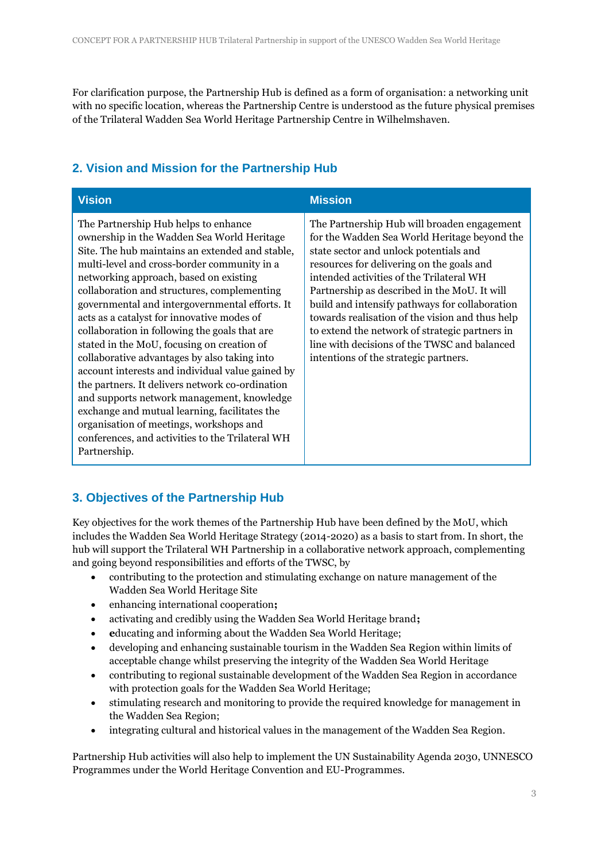For clarification purpose, the Partnership Hub is defined as a form of organisation: a networking unit with no specific location, whereas the Partnership Centre is understood as the future physical premises of the Trilateral Wadden Sea World Heritage Partnership Centre in Wilhelmshaven.

## **2. Vision and Mission for the Partnership Hub**

| <b>Vision</b>                                                                                                                                                                                                                                                                                                                                                                                                                                                                                                                                                                                                                                                                                                                                                                                                                                     | <b>Mission</b>                                                                                                                                                                                                                                                                                                                                                                                                                                                                                                                 |
|---------------------------------------------------------------------------------------------------------------------------------------------------------------------------------------------------------------------------------------------------------------------------------------------------------------------------------------------------------------------------------------------------------------------------------------------------------------------------------------------------------------------------------------------------------------------------------------------------------------------------------------------------------------------------------------------------------------------------------------------------------------------------------------------------------------------------------------------------|--------------------------------------------------------------------------------------------------------------------------------------------------------------------------------------------------------------------------------------------------------------------------------------------------------------------------------------------------------------------------------------------------------------------------------------------------------------------------------------------------------------------------------|
| The Partnership Hub helps to enhance<br>ownership in the Wadden Sea World Heritage<br>Site. The hub maintains an extended and stable,<br>multi-level and cross-border community in a<br>networking approach, based on existing<br>collaboration and structures, complementing<br>governmental and intergovernmental efforts. It<br>acts as a catalyst for innovative modes of<br>collaboration in following the goals that are<br>stated in the MoU, focusing on creation of<br>collaborative advantages by also taking into<br>account interests and individual value gained by<br>the partners. It delivers network co-ordination<br>and supports network management, knowledge<br>exchange and mutual learning, facilitates the<br>organisation of meetings, workshops and<br>conferences, and activities to the Trilateral WH<br>Partnership. | The Partnership Hub will broaden engagement<br>for the Wadden Sea World Heritage beyond the<br>state sector and unlock potentials and<br>resources for delivering on the goals and<br>intended activities of the Trilateral WH<br>Partnership as described in the MoU. It will<br>build and intensify pathways for collaboration<br>towards realisation of the vision and thus help<br>to extend the network of strategic partners in<br>line with decisions of the TWSC and balanced<br>intentions of the strategic partners. |

## **3. Objectives of the Partnership Hub**

Key objectives for the work themes of the Partnership Hub have been defined by the MoU, which includes the Wadden Sea World Heritage Strategy (2014-2020) as a basis to start from. In short, the hub will support the Trilateral WH Partnership in a collaborative network approach, complementing and going beyond responsibilities and efforts of the TWSC, by

- contributing to the protection and stimulating exchange on nature management of the Wadden Sea World Heritage Site
- enhancing international cooperation**;**
- activating and credibly using the Wadden Sea World Heritage brand**;**
- **e**ducating and informing about the Wadden Sea World Heritage;
- developing and enhancing sustainable tourism in the Wadden Sea Region within limits of acceptable change whilst preserving the integrity of the Wadden Sea World Heritage
- contributing to regional sustainable development of the Wadden Sea Region in accordance with protection goals for the Wadden Sea World Heritage;
- stimulating research and monitoring to provide the required knowledge for management in the Wadden Sea Region;
- integrating cultural and historical values in the management of the Wadden Sea Region.

Partnership Hub activities will also help to implement the UN Sustainability Agenda 2030, UNNESCO Programmes under the World Heritage Convention and EU-Programmes.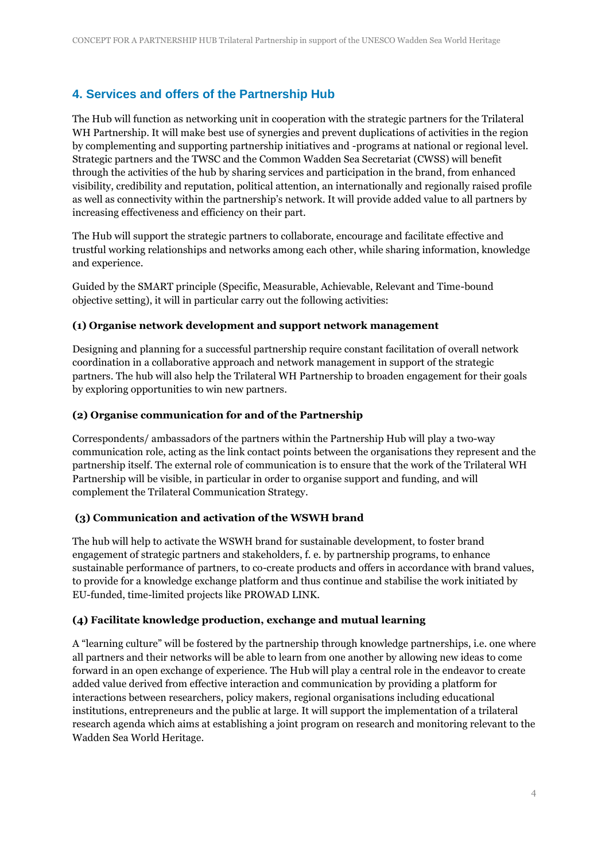## **4. Services and offers of the Partnership Hub**

The Hub will function as networking unit in cooperation with the strategic partners for the Trilateral WH Partnership. It will make best use of synergies and prevent duplications of activities in the region by complementing and supporting partnership initiatives and -programs at national or regional level. Strategic partners and the TWSC and the Common Wadden Sea Secretariat (CWSS) will benefit through the activities of the hub by sharing services and participation in the brand, from enhanced visibility, credibility and reputation, political attention, an internationally and regionally raised profile as well as connectivity within the partnership's network. It will provide added value to all partners by increasing effectiveness and efficiency on their part.

The Hub will support the strategic partners to collaborate, encourage and facilitate effective and trustful working relationships and networks among each other, while sharing information, knowledge and experience.

Guided by the SMART principle (Specific, Measurable, Achievable, Relevant and Time-bound objective setting), it will in particular carry out the following activities:

#### **(1) Organise network development and support network management**

Designing and planning for a successful partnership require constant facilitation of overall network coordination in a collaborative approach and network management in support of the strategic partners. The hub will also help the Trilateral WH Partnership to broaden engagement for their goals by exploring opportunities to win new partners.

#### **(2) Organise communication for and of the Partnership**

Correspondents/ ambassadors of the partners within the Partnership Hub will play a two-way communication role, acting as the link contact points between the organisations they represent and the partnership itself. The external role of communication is to ensure that the work of the Trilateral WH Partnership will be visible, in particular in order to organise support and funding, and will complement the Trilateral Communication Strategy.

#### **(3) Communication and activation of the WSWH brand**

The hub will help to activate the WSWH brand for sustainable development, to foster brand engagement of strategic partners and stakeholders, f. e. by partnership programs, to enhance sustainable performance of partners, to co-create products and offers in accordance with brand values, to provide for a knowledge exchange platform and thus continue and stabilise the work initiated by EU-funded, time-limited projects like PROWAD LINK.

#### **(4) Facilitate knowledge production, exchange and mutual learning**

A "learning culture" will be fostered by the partnership through knowledge partnerships, i.e. one where all partners and their networks will be able to learn from one another by allowing new ideas to come forward in an open exchange of experience. The Hub will play a central role in the endeavor to create added value derived from effective interaction and communication by providing a platform for interactions between researchers, policy makers, regional organisations including educational institutions, entrepreneurs and the public at large. It will support the implementation of a trilateral research agenda which aims at establishing a joint program on research and monitoring relevant to the Wadden Sea World Heritage.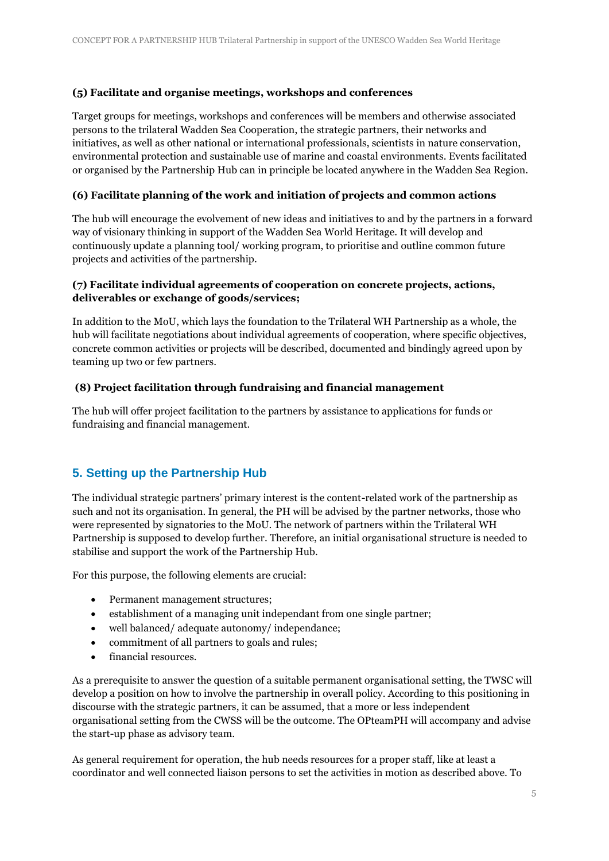#### **(5) Facilitate and organise meetings, workshops and conferences**

Target groups for meetings, workshops and conferences will be members and otherwise associated persons to the trilateral Wadden Sea Cooperation, the strategic partners, their networks and initiatives, as well as other national or international professionals, scientists in nature conservation, environmental protection and sustainable use of marine and coastal environments. Events facilitated or organised by the Partnership Hub can in principle be located anywhere in the Wadden Sea Region.

#### **(6) Facilitate planning of the work and initiation of projects and common actions**

The hub will encourage the evolvement of new ideas and initiatives to and by the partners in a forward way of visionary thinking in support of the Wadden Sea World Heritage. It will develop and continuously update a planning tool/ working program, to prioritise and outline common future projects and activities of the partnership.

#### **(7) Facilitate individual agreements of cooperation on concrete projects, actions, deliverables or exchange of goods/services;**

In addition to the MoU, which lays the foundation to the Trilateral WH Partnership as a whole, the hub will facilitate negotiations about individual agreements of cooperation, where specific objectives, concrete common activities or projects will be described, documented and bindingly agreed upon by teaming up two or few partners.

#### **(8) Project facilitation through fundraising and financial management**

The hub will offer project facilitation to the partners by assistance to applications for funds or fundraising and financial management.

### **5. Setting up the Partnership Hub**

The individual strategic partners' primary interest is the content-related work of the partnership as such and not its organisation. In general, the PH will be advised by the partner networks, those who were represented by signatories to the MoU. The network of partners within the Trilateral WH Partnership is supposed to develop further. Therefore, an initial organisational structure is needed to stabilise and support the work of the Partnership Hub.

For this purpose, the following elements are crucial:

- Permanent management structures;
- establishment of a managing unit independant from one single partner;
- well balanced/ adequate autonomy/ independance;
- commitment of all partners to goals and rules;
- financial resources.

As a prerequisite to answer the question of a suitable permanent organisational setting, the TWSC will develop a position on how to involve the partnership in overall policy. According to this positioning in discourse with the strategic partners, it can be assumed, that a more or less independent organisational setting from the CWSS will be the outcome. The OPteamPH will accompany and advise the start-up phase as advisory team.

As general requirement for operation, the hub needs resources for a proper staff, like at least a coordinator and well connected liaison persons to set the activities in motion as described above. To